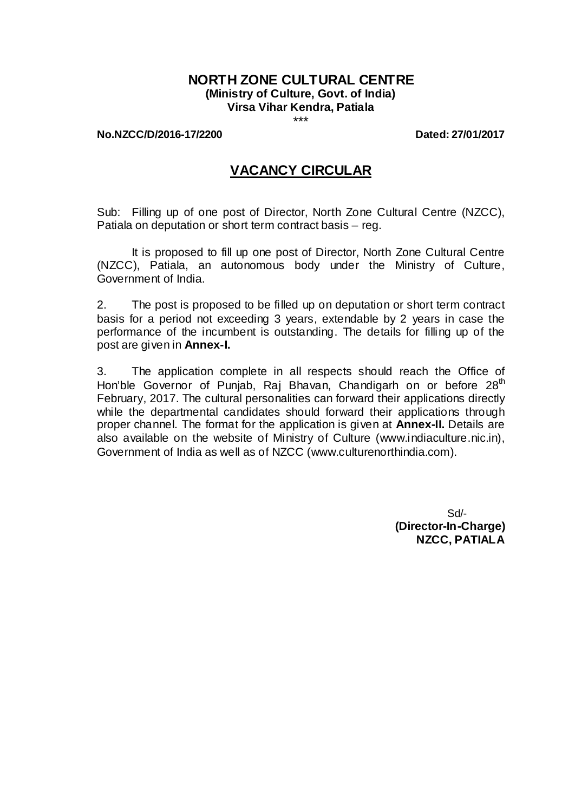# **NORTH ZONE CULTURAL CENTRE (Ministry of Culture, Govt. of India) Virsa Vihar Kendra, Patiala**

\*\*\*

#### **No.NZCC/D/2016-17/2200 Dated: 27/01/2017**

# **VACANCY CIRCULAR**

Sub: Filling up of one post of Director, North Zone Cultural Centre (NZCC), Patiala on deputation or short term contract basis – reg.

It is proposed to fill up one post of Director, North Zone Cultural Centre (NZCC), Patiala, an autonomous body under the Ministry of Culture, Government of India.

2. The post is proposed to be filled up on deputation or short term contract basis for a period not exceeding 3 years, extendable by 2 years in case the performance of the incumbent is outstanding. The details for filling up of the post are given in **Annex-I.**

3. The application complete in all respects should reach the Office of Hon'ble Governor of Punjab, Raj Bhavan, Chandigarh on or before 28<sup>th</sup> February, 2017. The cultural personalities can forward their applications directly while the departmental candidates should forward their applications through proper channel. The format for the application is given at **Annex-II.** Details are also available on the website of Ministry of Culture (www.indiaculture.nic.in), Government of India as well as of NZCC (www.culturenorthindia.com).

> Sd/- **(Director-In-Charge) NZCC, PATIALA**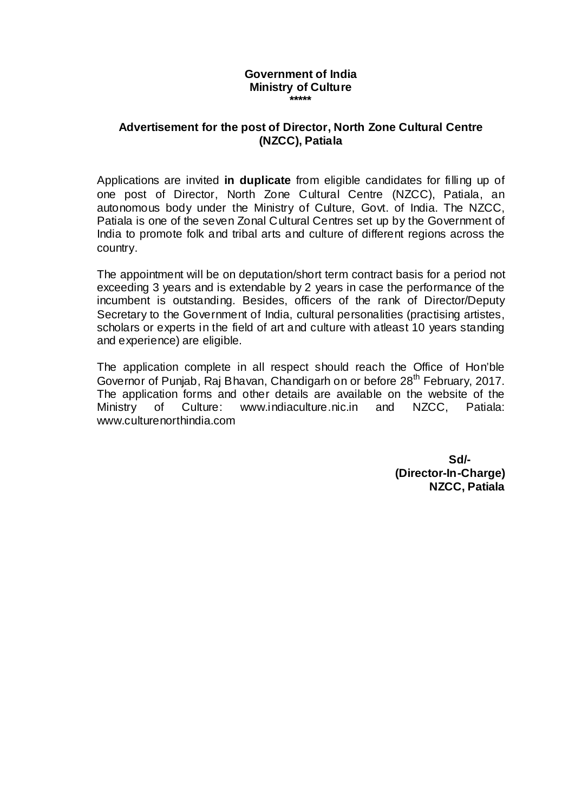#### **Government of India Ministry of Culture \*\*\*\*\***

## **Advertisement for the post of Director, North Zone Cultural Centre (NZCC), Patiala**

Applications are invited **in duplicate** from eligible candidates for filling up of one post of Director, North Zone Cultural Centre (NZCC), Patiala, an autonomous body under the Ministry of Culture, Govt. of India. The NZCC, Patiala is one of the seven Zonal Cultural Centres set up by the Government of India to promote folk and tribal arts and culture of different regions across the country.

The appointment will be on deputation/short term contract basis for a period not exceeding 3 years and is extendable by 2 years in case the performance of the incumbent is outstanding. Besides, officers of the rank of Director/Deputy Secretary to the Government of India, cultural personalities (practising artistes, scholars or experts in the field of art and culture with atleast 10 years standing and experience) are eligible.

The application complete in all respect should reach the Office of Hon'ble Governor of Punjab, Raj Bhavan, Chandigarh on or before 28<sup>th</sup> February, 2017. The application forms and other details are available on the website of the Ministry of Culture: www.indiaculture.nic.in and NZCC, Patiala: www.culturenorthindia.com

> **Sd/- (Director-In-Charge) NZCC, Patiala**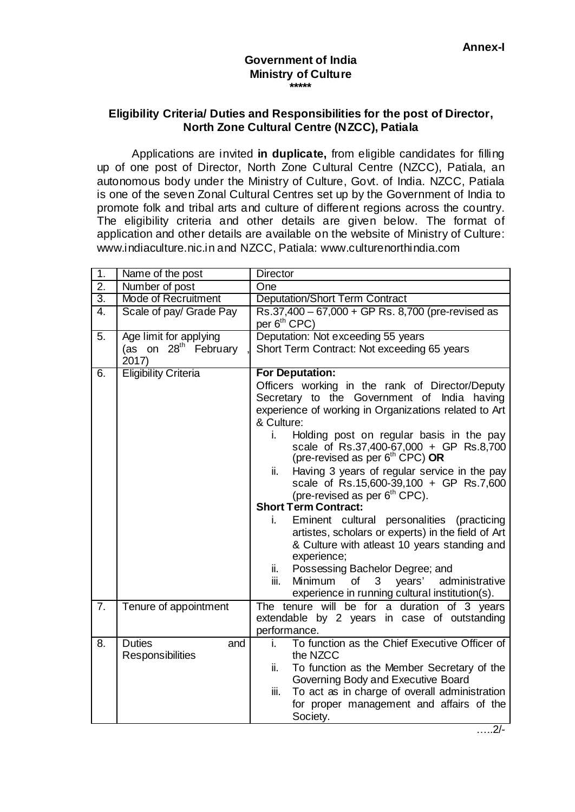#### **Government of India Ministry of Culture \*\*\*\*\***

### **Eligibility Criteria/ Duties and Responsibilities for the post of Director, North Zone Cultural Centre (NZCC), Patiala**

Applications are invited **in duplicate,** from eligible candidates for filling up of one post of Director, North Zone Cultural Centre (NZCC), Patiala, an autonomous body under the Ministry of Culture, Govt. of India. NZCC, Patiala is one of the seven Zonal Cultural Centres set up by the Government of India to promote folk and tribal arts and culture of different regions across the country. The eligibility criteria and other details are given below. The format of application and other details are available on the website of Ministry of Culture: www.indiaculture.nic.in and NZCC, Patiala: www.culturenorthindia.com

| 1.               | Name of the post                          | <b>Director</b>                                                                                |  |  |  |  |
|------------------|-------------------------------------------|------------------------------------------------------------------------------------------------|--|--|--|--|
| $\overline{2}$ . | Number of post                            | One                                                                                            |  |  |  |  |
| $\overline{3}$ . | <b>Mode of Recruitment</b>                | <b>Deputation/Short Term Contract</b>                                                          |  |  |  |  |
| $\overline{4}$ . | Scale of pay/ Grade Pay                   | Rs.37,400 - 67,000 + GP Rs. 8,700 (pre-revised as                                              |  |  |  |  |
|                  |                                           | per 6 <sup>th</sup> CPC)                                                                       |  |  |  |  |
| 5.               | Age limit for applying                    | Deputation: Not exceeding 55 years                                                             |  |  |  |  |
|                  | (as on 28 <sup>th</sup> February<br>2017) | Short Term Contract: Not exceeding 65 years                                                    |  |  |  |  |
| 6.               | <b>Eligibility Criteria</b>               | <b>For Deputation:</b>                                                                         |  |  |  |  |
|                  |                                           | Officers working in the rank of Director/Deputy                                                |  |  |  |  |
|                  |                                           | Secretary to the Government of India having                                                    |  |  |  |  |
|                  |                                           | experience of working in Organizations related to Art                                          |  |  |  |  |
|                  |                                           | & Culture:                                                                                     |  |  |  |  |
|                  |                                           | Holding post on regular basis in the pay<br>i.                                                 |  |  |  |  |
|                  |                                           | scale of Rs.37,400-67,000 + GP Rs.8,700                                                        |  |  |  |  |
|                  |                                           | (pre-revised as per 6 <sup>th</sup> CPC) OR                                                    |  |  |  |  |
|                  |                                           | Having 3 years of regular service in the pay<br>ii.<br>scale of Rs.15,600-39,100 + GP Rs.7,600 |  |  |  |  |
|                  |                                           |                                                                                                |  |  |  |  |
|                  |                                           | (pre-revised as per 6 <sup>th</sup> CPC).<br><b>Short Term Contract:</b>                       |  |  |  |  |
|                  |                                           | Eminent cultural personalities (practicing<br>i.                                               |  |  |  |  |
|                  |                                           | artistes, scholars or experts) in the field of Art                                             |  |  |  |  |
|                  |                                           | & Culture with atleast 10 years standing and                                                   |  |  |  |  |
|                  |                                           | experience;                                                                                    |  |  |  |  |
|                  |                                           | Possessing Bachelor Degree; and<br>ii.                                                         |  |  |  |  |
|                  |                                           | iii.<br>Minimum<br>of<br>3 <sup>1</sup><br>years'<br>administrative                            |  |  |  |  |
|                  |                                           | experience in running cultural institution(s).                                                 |  |  |  |  |
| 7.               | Tenure of appointment                     | The tenure will be for a duration of 3 years                                                   |  |  |  |  |
|                  |                                           | extendable by 2 years in case of outstanding                                                   |  |  |  |  |
|                  |                                           | performance.                                                                                   |  |  |  |  |
| 8.               | <b>Duties</b><br>and                      | To function as the Chief Executive Officer of<br>i.                                            |  |  |  |  |
|                  | Responsibilities                          | the NZCC                                                                                       |  |  |  |  |
|                  |                                           | To function as the Member Secretary of the<br>ii.                                              |  |  |  |  |
|                  |                                           | Governing Body and Executive Board                                                             |  |  |  |  |
|                  |                                           | To act as in charge of overall administration<br>iii.                                          |  |  |  |  |
|                  |                                           | for proper management and affairs of the                                                       |  |  |  |  |
|                  |                                           | Society.                                                                                       |  |  |  |  |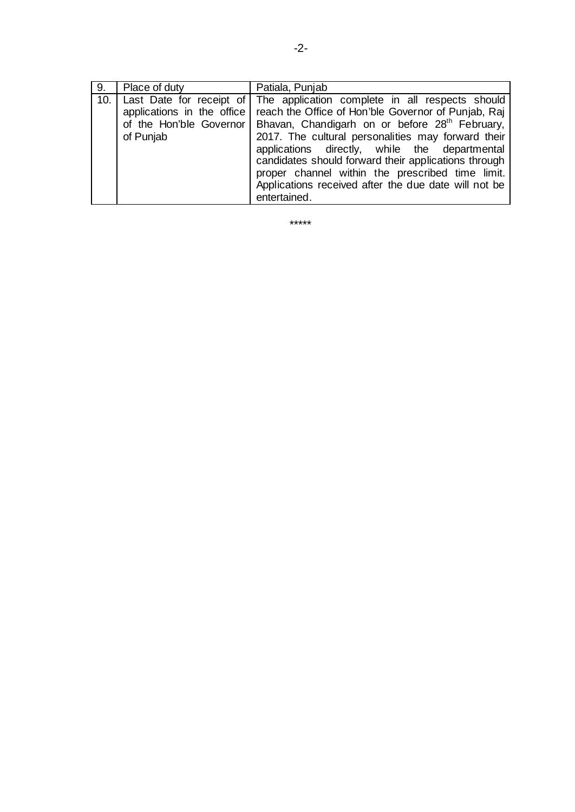| 9. | Place of duty | Patiala, Punjab                                                                                                                                                                                                                                                                                                                                                                                                                                                                                                                                     |
|----|---------------|-----------------------------------------------------------------------------------------------------------------------------------------------------------------------------------------------------------------------------------------------------------------------------------------------------------------------------------------------------------------------------------------------------------------------------------------------------------------------------------------------------------------------------------------------------|
|    | of Punjab     | 10. Last Date for receipt of The application complete in all respects should<br>applications in the office   reach the Office of Hon'ble Governor of Punjab, Raj<br>of the Hon'ble Governor   Bhavan, Chandigarh on or before 28 <sup>th</sup> February,<br>2017. The cultural personalities may forward their<br>applications directly, while the departmental<br>candidates should forward their applications through<br>proper channel within the prescribed time limit.<br>Applications received after the due date will not be<br>entertained. |

\*\*\*\*\*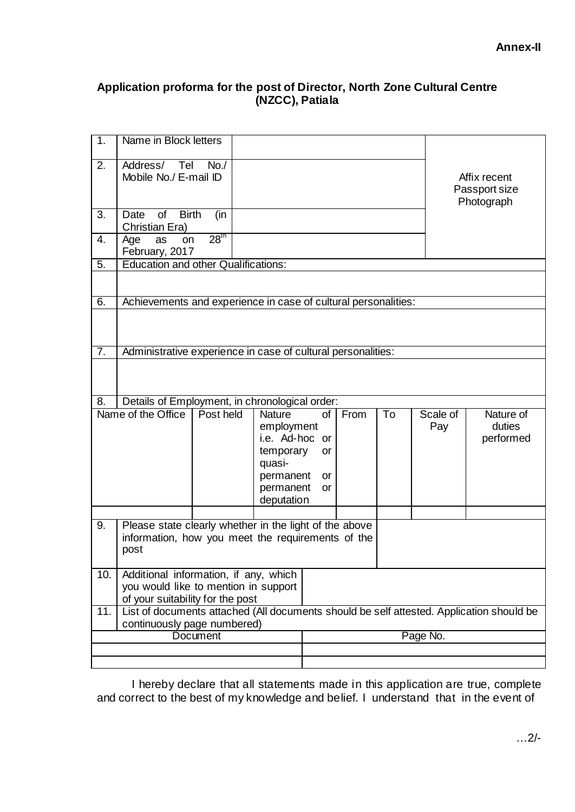# **Application proforma for the post of Director, North Zone Cultural Centre (NZCC), Patiala**

| $\overline{1}$ .                                    | Name in Block letters                                                                    |                                                                             |                                                                                          |                                   |      |    |                 |                                  |
|-----------------------------------------------------|------------------------------------------------------------------------------------------|-----------------------------------------------------------------------------|------------------------------------------------------------------------------------------|-----------------------------------|------|----|-----------------|----------------------------------|
| 2.                                                  | Address/ Tel                                                                             | No.<br>Mobile No./ E-mail ID<br>Affix recent<br>Passport size<br>Photograph |                                                                                          |                                   |      |    |                 |                                  |
| 3.                                                  | of<br><b>Birth</b><br>Date                                                               | (in                                                                         |                                                                                          |                                   |      |    |                 |                                  |
| $\overline{4}$ .                                    | Christian Era)<br>Age<br>as<br><b>on</b>                                                 | 28 <sup>th</sup>                                                            |                                                                                          |                                   |      |    |                 |                                  |
|                                                     | February, 2017                                                                           |                                                                             |                                                                                          |                                   |      |    |                 |                                  |
| 5.                                                  | <b>Education and other Qualifications:</b>                                               |                                                                             |                                                                                          |                                   |      |    |                 |                                  |
|                                                     |                                                                                          |                                                                             |                                                                                          |                                   |      |    |                 |                                  |
| 6.                                                  | Achievements and experience in case of cultural personalities:                           |                                                                             |                                                                                          |                                   |      |    |                 |                                  |
|                                                     |                                                                                          |                                                                             |                                                                                          |                                   |      |    |                 |                                  |
| $\overline{7}$ .                                    | Administrative experience in case of cultural personalities:                             |                                                                             |                                                                                          |                                   |      |    |                 |                                  |
|                                                     |                                                                                          |                                                                             |                                                                                          |                                   |      |    |                 |                                  |
| 8.                                                  | Details of Employment, in chronological order:<br>Name of the Office                     | Post held                                                                   | <b>Nature</b>                                                                            |                                   | From | To |                 |                                  |
|                                                     |                                                                                          |                                                                             | employment<br>i.e. Ad-hoc<br>temporary<br>quasi-<br>permanent<br>permanent<br>deputation | of<br>or<br>or<br>or<br><b>or</b> |      |    | Scale of<br>Pay | Nature of<br>duties<br>performed |
| 9.                                                  | Please state clearly whether in the light of the above                                   |                                                                             |                                                                                          |                                   |      |    |                 |                                  |
|                                                     | information, how you meet the requirements of the<br>post                                |                                                                             |                                                                                          |                                   |      |    |                 |                                  |
| 10.                                                 | Additional information, if any, which                                                    |                                                                             |                                                                                          |                                   |      |    |                 |                                  |
|                                                     | you would like to mention in support<br>of your suitability for the post                 |                                                                             |                                                                                          |                                   |      |    |                 |                                  |
| 11.                                                 | List of documents attached (All documents should be self attested. Application should be |                                                                             |                                                                                          |                                   |      |    |                 |                                  |
| continuously page numbered)<br>Page No.<br>Document |                                                                                          |                                                                             |                                                                                          |                                   |      |    |                 |                                  |
|                                                     |                                                                                          |                                                                             |                                                                                          |                                   |      |    |                 |                                  |
|                                                     |                                                                                          |                                                                             |                                                                                          |                                   |      |    |                 |                                  |

I hereby declare that all statements made in this application are true, complete and correct to the best of my knowledge and belief. I understand that in the event of